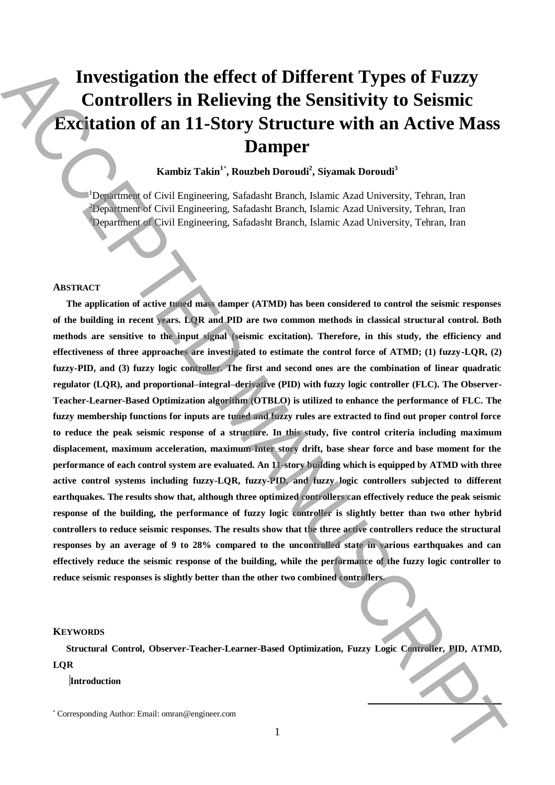# **Investigation the effect of Different Types of Fuzzy Controllers in Relieving the Sensitivity to Seismic Excitation of an 11-Story Structure with an Active Mass Damper**

**Kambiz Takin<sup>1</sup>**\* **, Rouzbeh Doroudi<sup>2</sup> , Siyamak Doroudi<sup>3</sup>**

<sup>1</sup>Department of Civil Engineering, Safadasht Branch, Islamic Azad University, Tehran, Iran <sup>2</sup>Department of Civil Engineering, Safadasht Branch, Islamic Azad University, Tehran, Iran <sup>3</sup>Department of Civil Engineering, Safadasht Branch, Islamic Azad University, Tehran, Iran

#### **ABSTRACT**

**The application of active tuned mass damper (ATMD) has been considered to control the seismic responses of the building in recent years. LQR and PID are two common methods in classical structural control. Both methods are sensitive to the input signal (seismic excitation). Therefore, in this study, the efficiency and effectiveness of three approaches are investigated to estimate the control force of ATMD; (1) fuzzy-LQR, (2) fuzzy-PID, and (3) fuzzy logic controller. The first and second ones are the combination of linear quadratic regulator (LQR), and proportional–integral–derivative (PID) with fuzzy logic controller (FLC). The Observer-Teacher-Learner-Based Optimization algorithm (OTBLO) is utilized to enhance the performance of FLC. The fuzzy membership functions for inputs are tuned and fuzzy rules are extracted to find out proper control force to reduce the peak seismic response of a structure. In this study, five control criteria including maximum displacement, maximum acceleration, maximum Inter story drift, base shear force and base moment for the performance of each control system are evaluated. An 11-story building which is equipped by ATMD with three active control systems including fuzzy-LQR, fuzzy-PID, and fuzzy logic controllers subjected to different earthquakes. The results show that, although three optimized controllers can effectively reduce the peak seismic response of the building, the performance of fuzzy logic controller is slightly better than two other hybrid controllers to reduce seismic responses. The results show that the three active controllers reduce the structural responses by an average of 9 to 28% compared to the uncontrolled state in various earthquakes and can effectively reduce the seismic response of the building, while the performance of the fuzzy logic controller to reduce seismic responses is slightly better than the other two combined controllers.** Investigation the effect of Different Types of Fuzzy<br>
Controllers in Relieving the Sensitivity to Seismic<br>
Excitation of an 11-Store and the Sensitivity to Seismic<br>
Damper<br>
Samula Tasan", isomore with an Active Mass<br>
Damp

### **KEYWORDS**

**Structural Control, Observer-Teacher-Learner-Based Optimization, Fuzzy Logic Controller, PID, ATMD, LQR**

#### **Introduction**

**.**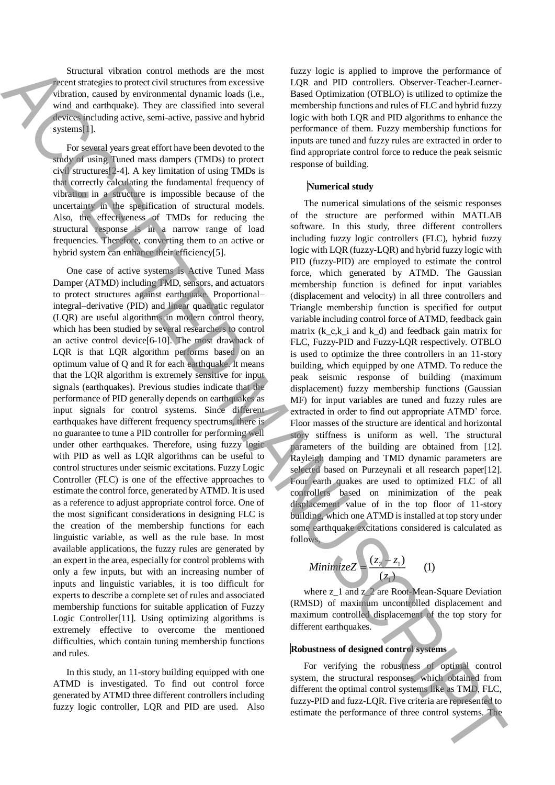Structural vibration control methods are the most recent strategies to protect civil structures from excessive vibration, caused by environmental dynamic loads (i.e., wind and earthquake). They are classified into several devices including active, semi-active, passive and hybrid systems[1].

For several years great effort have been devoted to the study of using Tuned mass dampers (TMDs) to protect civil structures[2-4]. A key limitation of using TMDs is that correctly calculating the fundamental frequency of vibration in a structure is impossible because of the uncertainty in the specification of structural models. Also, the effectiveness of TMDs for reducing the structural response is in a narrow range of load frequencies. Therefore, converting them to an active or hybrid system can enhance their efficiency[5].

One case of active systems is Active Tuned Mass Damper (ATMD) including TMD, sensors, and actuators to protect structures against earthquake. Proportional– integral–derivative (PID) and linear quadratic regulator (LQR) are useful algorithms in modern control theory, which has been studied by several researchers to control an active control device[6-10]. The most drawback of LQR is that LQR algorithm performs based on an optimum value of Q and R for each earthquake. It means that the LQR algorithm is extremely sensitive for input signals (earthquakes). Previous studies indicate that the performance of PID generally depends on earthquakes as input signals for control systems. Since different earthquakes have different frequency spectrums, there is no guarantee to tune a PID controller for performing well under other earthquakes. Therefore, using fuzzy logic with PID as well as LQR algorithms can be useful to control structures under seismic excitations. Fuzzy Logic Controller (FLC) is one of the effective approaches to estimate the control force, generated by ATMD. It is used as a reference to adjust appropriate control force. One of the most significant considerations in designing FLC is the creation of the membership functions for each linguistic variable, as well as the rule base. In most available applications, the fuzzy rules are generated by an expert in the area, especially for control problems with only a few inputs, but with an increasing number of inputs and linguistic variables, it is too difficult for experts to describe a complete set of rules and associated membership functions for suitable application of Fuzzy Logic Controller[11]. Using optimizing algorithms is extremely effective to overcome the mentioned difficulties, which contain tuning membership functions and rules. Some that the means of the system of the system of the system of the system of the system of the system of the system of the system of the system of the system of the system of the system of the system of the system of th

In this study, an 11-story building equipped with one ATMD is investigated. To find out control force generated by ATMD three different controllers including fuzzy logic controller, LQR and PID are used. Also fuzzy logic is applied to improve the performance of LQR and PID controllers. Observer-Teacher-Learner-Based Optimization (OTBLO) is utilized to optimize the membership functions and rules of FLC and hybrid fuzzy logic with both LQR and PID algorithms to enhance the performance of them. Fuzzy membership functions for inputs are tuned and fuzzy rules are extracted in order to find appropriate control force to reduce the peak seismic response of building.

#### **Numerical study**

The numerical simulations of the seismic responses of the structure are performed within MATLAB software. In this study, three different controllers including fuzzy logic controllers (FLC), hybrid fuzzy logic with LQR (fuzzy-LQR) and hybrid fuzzy logic with PID (fuzzy-PID) are employed to estimate the control force, which generated by ATMD. The Gaussian membership function is defined for input variables (displacement and velocity) in all three controllers and Triangle membership function is specified for output variable including control force of ATMD, feedback gain matrix  $(k_c, k_i$  and  $k_d)$  and feedback gain matrix for FLC, Fuzzy-PID and Fuzzy-LQR respectively. OTBLO is used to optimize the three controllers in an 11-story building, which equipped by one ATMD. To reduce the peak seismic response of building (maximum displacement) fuzzy membership functions (Gaussian MF) for input variables are tuned and fuzzy rules are extracted in order to find out appropriate ATMD' force. Floor masses of the structure are identical and horizontal story stiffness is uniform as well. The structural parameters of the building are obtained from [12]. Rayleigh damping and TMD dynamic parameters are selected based on Purzeynali et all research paper[12]. Four earth quakes are used to optimized FLC of all controllers based on minimization of the peak displacement value of in the top floor of 11-story building, which one ATMD is installed at top story under some earthquake excitations considered is calculated as follows,

$$
Minimize Z = \frac{(z_2 - z_1)}{(z_1)} \qquad (1)
$$

where z\_1 and z\_2 are Root-Mean-Square Deviation (RMSD) of maximum uncontrolled displacement and maximum controlled displacement of the top story for different earthquakes.

## **Robustness of designed control systems**

For verifying the robustness of optimal control system, the structural responses, which obtained from different the optimal control systems like as TMD, FLC, fuzzy-PID and fuzz-LQR. Five criteria are represented to